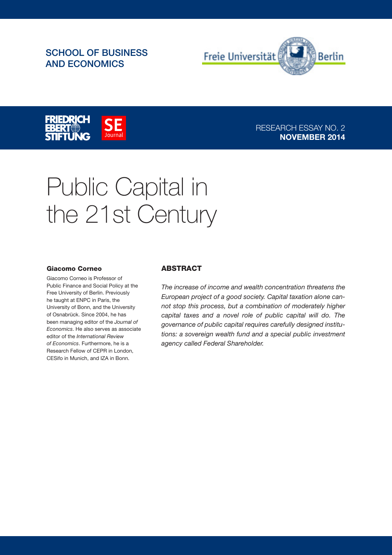# SCHOOL OF BUSINESS AND ECONOMICS





## RESEARCH ESSAY NO. 2 NOVEMBER 2014

# Public Capital in the 21st Century

#### Giacomo Corneo

Giacomo Corneo is Professor of Public Finance and Social Policy at the Free University of Berlin. Previously he taught at ENPC in Paris, the University of Bonn, and the University of Osnabrück. Since 2004, he has been managing editor of the Journal of Economics. He also serves as associate editor of the International Review of Economics. Furthermore, he is a Research Fellow of CEPR in London, CESifo in Munich, and IZA in Bonn.

#### ABSTRACT

The increase of income and wealth concentration threatens the European project of a good society. Capital taxation alone cannot stop this process, but a combination of moderately higher capital taxes and a novel role of public capital will do. The governance of public capital requires carefully designed institutions: a sovereign wealth fund and a special public investment agency called Federal Shareholder.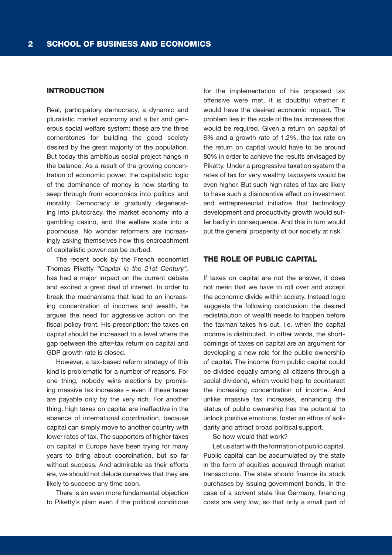#### INTRODUCTION

Real, participatory democracy, a dynamic and pluralistic market economy and a fair and generous social welfare system: these are the three cornerstones for building the good society desired by the great majority of the population. But today this ambitious social project hangs in the balance. As a result of the growing concentration of economic power, the capitalistic logic of the dominance of money is now starting to seep through from economics into politics and morality. Democracy is gradually degenerating into plutocracy, the market economy into a gambling casino, and the welfare state into a poorhouse. No wonder reformers are increasingly asking themselves how this encroachment of capitalistic power can be curbed.

The recent book by the French economist Thomas Piketty "Capital in the 21st Century", has had a major impact on the current debate and excited a great deal of interest. In order to break the mechanisms that lead to an increasing concentration of incomes and wealth, he argues the need for aggressive action on the fiscal policy front. His prescription: the taxes on capital should be increased to a level where the gap between the after-tax return on capital and GDP growth rate is closed.

However, a tax-based reform strategy of this kind is problematic for a number of reasons. For one thing, nobody wins elections by promising massive tax increases – even if these taxes are payable only by the very rich. For another thing, high taxes on capital are ineffective in the absence of international coordination, because capital can simply move to another country with lower rates of tax. The supporters of higher taxes on capital in Europe have been trying for many years to bring about coordination, but so far without success. And admirable as their efforts are, we should not delude ourselves that they are likely to succeed any time soon.

There is an even more fundamental objection to Piketty's plan: even if the political conditions

for the implementation of his proposed tax offensive were met, it is doubtful whether it would have the desired economic impact. The problem lies in the scale of the tax increases that would be required. Given a return on capital of 6% and a growth rate of 1.2%, the tax rate on the return on capital would have to be around 80% in order to achieve the results envisaged by Piketty. Under a progressive taxation system the rates of tax for very wealthy taxpayers would be even higher. But such high rates of tax are likely to have such a disincentive effect on investment and entrepreneurial initiative that technology development and productivity growth would suffer badly in consequence. And this in turn would put the general prosperity of our society at risk.

#### THE ROLE OF PUBLIC CAPITAL

If taxes on capital are not the answer, it does not mean that we have to roll over and accept the economic divide within society. Instead logic suggests the following conclusion: the desired redistribution of wealth needs to happen before the taxman takes his cut, i.e. when the capital income is distributed. In other words, the shortcomings of taxes on capital are an argument for developing a new role for the public ownership of capital. The income from public capital could be divided equally among all citizens through a social dividend, which would help to counteract the increasing concentration of income. And unlike massive tax increases, enhancing the status of public ownership has the potential to unlock positive emotions, foster an ethos of solidarity and attract broad political support.

So how would that work?

Let us start with the formation of public capital. Public capital can be accumulated by the state in the form of equities acquired through market transactions. The state should finance its stock purchases by issuing government bonds. In the case of a solvent state like Germany, financing costs are very low, so that only a small part of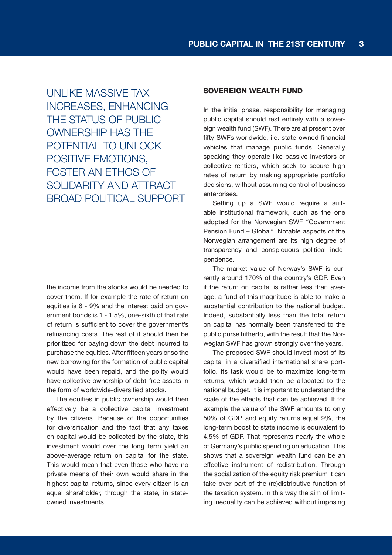UNLIKE MASSIVE TAX INCREASES, ENHANCING THE STATUS OF PUBLIC OWNERSHIP HAS THE POTENTIAL TO UNLOCK POSITIVE EMOTIONS, FOSTER AN ETHOS OF SOLIDARITY AND ATTRACT BROAD POLITICAL SUPPORT

the income from the stocks would be needed to cover them. If for example the rate of return on equities is 6 - 9% and the interest paid on government bonds is 1 - 1.5%, one-sixth of that rate of return is sufficient to cover the government's refinancing costs. The rest of it should then be prioritized for paying down the debt incurred to purchase the equities. After fifteen years or so the new borrowing for the formation of public capital would have been repaid, and the polity would have collective ownership of debt-free assets in the form of worldwide-diversified stocks.

The equities in public ownership would then effectively be a collective capital investment by the citizens. Because of the opportunities for diversification and the fact that any taxes on capital would be collected by the state, this investment would over the long term yield an above-average return on capital for the state. This would mean that even those who have no private means of their own would share in the highest capital returns, since every citizen is an equal shareholder, through the state, in stateowned investments.

#### SOVEREIGN WEALTH FUND

In the initial phase, responsibility for managing public capital should rest entirely with a sovereign wealth fund (SWF). There are at present over fifty SWFs worldwide, i.e. state-owned financial vehicles that manage public funds. Generally speaking they operate like passive investors or collective rentiers, which seek to secure high rates of return by making appropriate portfolio decisions, without assuming control of business enterprises.

Setting up a SWF would require a suitable institutional framework, such as the one adopted for the Norwegian SWF "Government Pension Fund – Global". Notable aspects of the Norwegian arrangement are its high degree of transparency and conspicuous political independence.

The market value of Norway's SWF is currently around 170% of the country's GDP. Even if the return on capital is rather less than average, a fund of this magnitude is able to make a substantial contribution to the national budget. Indeed, substantially less than the total return on capital has normally been transferred to the public purse hitherto, with the result that the Norwegian SWF has grown strongly over the years.

The proposed SWF should invest most of its capital in a diversified international share portfolio. Its task would be to maximize long-term returns, which would then be allocated to the national budget. It is important to understand the scale of the effects that can be achieved. If for example the value of the SWF amounts to only 50% of GDP, and equity returns equal 9%, the long-term boost to state income is equivalent to 4.5% of GDP. That represents nearly the whole of Germany's public spending on education. This shows that a sovereign wealth fund can be an effective instrument of redistribution. Through the socialization of the equity risk premium it can take over part of the (re)distributive function of the taxation system. In this way the aim of limiting inequality can be achieved without imposing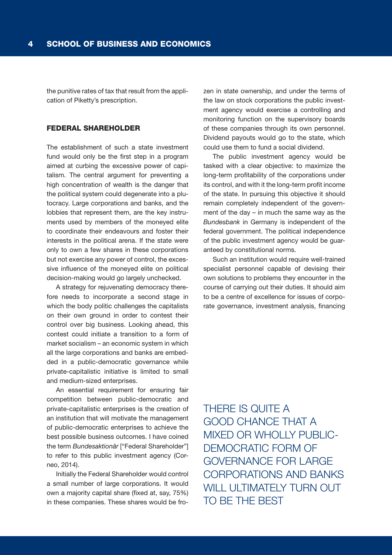the punitive rates of tax that result from the application of Piketty's prescription.

### FEDERAL SHAREHOLDER

The establishment of such a state investment fund would only be the first step in a program aimed at curbing the excessive power of capitalism. The central argument for preventing a high concentration of wealth is the danger that the political system could degenerate into a plutocracy. Large corporations and banks, and the lobbies that represent them, are the key instruments used by members of the moneyed elite to coordinate their endeavours and foster their interests in the political arena. If the state were only to own a few shares in these corporations but not exercise any power of control, the excessive influence of the moneyed elite on political decision-making would go largely unchecked.

A strategy for rejuvenating democracy therefore needs to incorporate a second stage in which the body politic challenges the capitalists on their own ground in order to contest their control over big business. Looking ahead, this contest could initiate a transition to a form of market socialism – an economic system in which all the large corporations and banks are embedded in a public-democratic governance while private-capitalistic initiative is limited to small and medium-sized enterprises.

An essential requirement for ensuring fair competition between public-democratic and private-capitalistic enterprises is the creation of an institution that will motivate the management of public-democratic enterprises to achieve the best possible business outcomes. I have coined the term Bundesaktionär ["Federal Shareholder"] to refer to this public investment agency (Corneo, 2014).

Initially the Federal Shareholder would control a small number of large corporations. It would own a majority capital share (fixed at, say, 75%) in these companies. These shares would be frozen in state ownership, and under the terms of the law on stock corporations the public investment agency would exercise a controlling and monitoring function on the supervisory boards of these companies through its own personnel. Dividend payouts would go to the state, which could use them to fund a social dividend.

The public investment agency would be tasked with a clear objective: to maximize the long-term profitability of the corporations under its control, and with it the long-term profit income of the state. In pursuing this objective it should remain completely independent of the government of the day – in much the same way as the Bundesbank in Germany is independent of the federal government. The political independence of the public investment agency would be guaranteed by constitutional norms.

Such an institution would require well-trained specialist personnel capable of devising their own solutions to problems they encounter in the course of carrying out their duties. It should aim to be a centre of excellence for issues of corporate governance, investment analysis, financing

THERE IS QUITE A GOOD CHANCE THAT A MIXED OR WHOLLY PUBLIC-DEMOCRATIC FORM OF GOVERNANCE FOR LARGE CORPORATIONS AND BANKS WILL ULTIMATELY TURN OUT TO BE THE BEST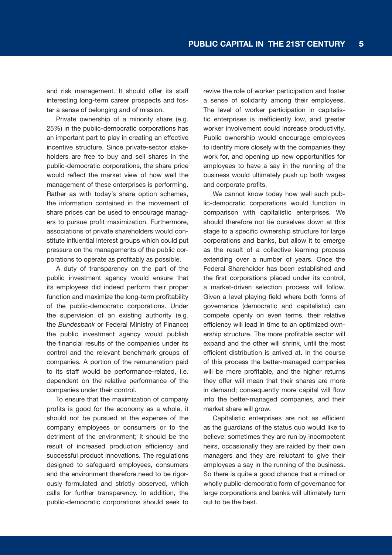and risk management. It should offer its staff interesting long-term career prospects and foster a sense of belonging and of mission.

Private ownership of a minority share (e.g. 25%) in the public-democratic corporations has an important part to play in creating an effective incentive structure. Since private-sector stakeholders are free to buy and sell shares in the public-democratic corporations, the share price would reflect the market view of how well the management of these enterprises is performing. Rather as with today's share option schemes, the information contained in the movement of share prices can be used to encourage managers to pursue profit maximization. Furthermore, associations of private shareholders would constitute influential interest groups which could put pressure on the managements of the public corporations to operate as profitably as possible.

A duty of transparency on the part of the public investment agency would ensure that its employees did indeed perform their proper function and maximize the long-term profitability of the public-democratic corporations. Under the supervision of an existing authority (e.g. the Bundesbank or Federal Ministry of Finance) the public investment agency would publish the financial results of the companies under its control and the relevant benchmark groups of companies. A portion of the remuneration paid to its staff would be performance-related, i.e. dependent on the relative performance of the companies under their control.

To ensure that the maximization of company profits is good for the economy as a whole, it should not be pursued at the expense of the company employees or consumers or to the detriment of the environment; it should be the result of increased production efficiency and successful product innovations. The regulations designed to safeguard employees, consumers and the environment therefore need to be rigorously formulated and strictly observed, which calls for further transparency. In addition, the public-democratic corporations should seek to revive the role of worker participation and foster a sense of solidarity among their employees. The level of worker participation in capitalistic enterprises is inefficiently low, and greater worker involvement could increase productivity. Public ownership would encourage employees to identify more closely with the companies they work for, and opening up new opportunities for employees to have a say in the running of the business would ultimately push up both wages and corporate profits.

We cannot know today how well such public-democratic corporations would function in comparison with capitalistic enterprises. We should therefore not tie ourselves down at this stage to a specific ownership structure for large corporations and banks, but allow it to emerge as the result of a collective learning process extending over a number of years. Once the Federal Shareholder has been established and the first corporations placed under its control, a market-driven selection process will follow. Given a level playing field where both forms of governance (democratic and capitalistic) can compete openly on even terms, their relative efficiency will lead in time to an optimized ownership structure. The more profitable sector will expand and the other will shrink, until the most efficient distribution is arrived at. In the course of this process the better-managed companies will be more profitable, and the higher returns they offer will mean that their shares are more in demand; consequently more capital will flow into the better-managed companies, and their market share will grow.

Capitalistic enterprises are not as efficient as the guardians of the status quo would like to believe: sometimes they are run by incompetent heirs, occasionally they are raided by their own managers and they are reluctant to give their employees a say in the running of the business. So there is quite a good chance that a mixed or wholly public-democratic form of governance for large corporations and banks will ultimately turn out to be the best.